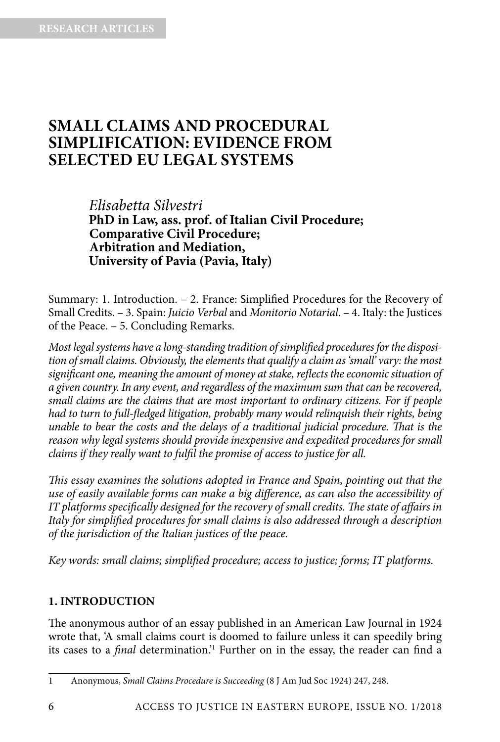# **SMALL CLAIMS AND PROCEDURAL SIMPLIFICATION: EVIDENCE FROM SELECTED EU LEGAL SYSTEMS**

*Elisabetta Silvestri* **PhD in Law, ass. prof. of Italian Civil Procedure; Comparative Civil Procedure; Arbitration and Mediation, University of Pavia (Pavia, Italy)**

Summary: 1. Introduction. – 2. France: Simplified Procedures for the Recovery of Small Credits. – 3. Spain: *Juicio Verbal* and *Monitorio Notarial*. – 4. Italy: the Justices of the Peace. – 5. Concluding Remarks.

*Most legal systems have a long-standing tradition of simplified procedures for the disposition of small claims. Obviously, the elements that qualify a claim as 'small' vary: the most significant one, meaning the amount of money at stake, reflects the economic situation of a given country. In any event, and regardless of the maximum sum that can be recovered, small claims are the claims that are most important to ordinary citizens. For if people had to turn to full-fledged litigation, probably many would relinquish their rights, being unable to bear the costs and the delays of a traditional judicial procedure. That is the reason why legal systems should provide inexpensive and expedited procedures for small claims if they really want to fulfil the promise of access to justice for all.*

*This essay examines the solutions adopted in France and Spain, pointing out that the use of easily available forms can make a big difference, as can also the accessibility of IT platforms specifically designed for the recovery of small credits. The state of affairs in Italy for simplified procedures for small claims is also addressed through a description of the jurisdiction of the Italian justices of the peace.*

*Key words: small claims; simplified procedure; access to justice; forms; IT platforms.*

#### **1. INTRODUCTION**

The anonymous author of an essay published in an American Law Journal in 1924 wrote that, 'A small claims court is doomed to failure unless it can speedily bring its cases to a *final* determination.'1 Further on in the essay, the reader can find a

<sup>1</sup> Anonymous, *Small Claims Procedure is Succeeding* (8 J Am Jud Soc 1924) 247, 248.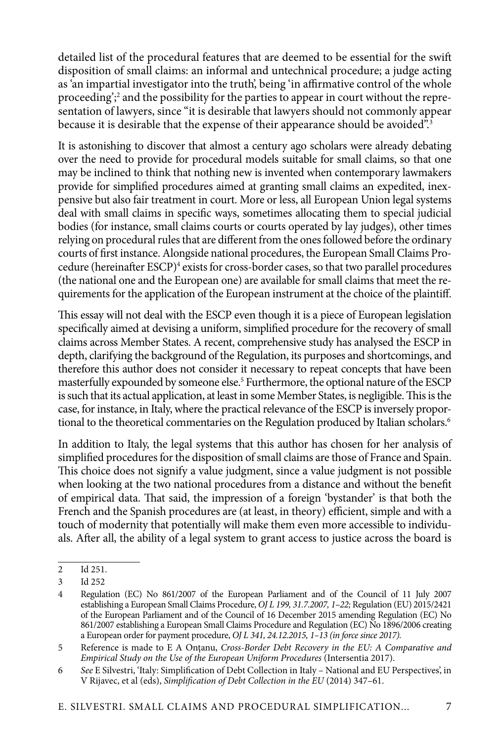detailed list of the procedural features that are deemed to be essential for the swift disposition of small claims: an informal and untechnical procedure; a judge acting as 'an impartial investigator into the truth', being 'in affirmative control of the whole proceeding';<sup>2</sup> and the possibility for the parties to appear in court without the representation of lawyers, since "it is desirable that lawyers should not commonly appear because it is desirable that the expense of their appearance should be avoided".<sup>3</sup>

It is astonishing to discover that almost a century ago scholars were already debating over the need to provide for procedural models suitable for small claims, so that one may be inclined to think that nothing new is invented when contemporary lawmakers provide for simplified procedures aimed at granting small claims an expedited, inexpensive but also fair treatment in court. More or less, all European Union legal systems deal with small claims in specific ways, sometimes allocating them to special judicial bodies (for instance, small claims courts or courts operated by lay judges), other times relying on procedural rules that are different from the ones followed before the ordinary courts of first instance. Alongside national procedures, the European Small Claims Procedure (hereinafter ESCP)<sup>4</sup> exists for cross-border cases, so that two parallel procedures (the national one and the European one) are available for small claims that meet the requirements for the application of the European instrument at the choice of the plaintiff.

This essay will not deal with the ESCP even though it is a piece of European legislation specifically aimed at devising a uniform, simplified procedure for the recovery of small claims across Member States. A recent, comprehensive study has analysed the ESCP in depth, clarifying the background of the Regulation, its purposes and shortcomings, and therefore this author does not consider it necessary to repeat concepts that have been masterfully expounded by someone else.<sup>5</sup> Furthermore, the optional nature of the ESCP is such that its actual application, at least in some Member States, is negligible. This is the case, for instance, in Italy, where the practical relevance of the ESCP is inversely proportional to the theoretical commentaries on the Regulation produced by Italian scholars.<sup>6</sup>

In addition to Italy, the legal systems that this author has chosen for her analysis of simplified procedures for the disposition of small claims are those of France and Spain. This choice does not signify a value judgment, since a value judgment is not possible when looking at the two national procedures from a distance and without the benefit of empirical data. That said, the impression of a foreign 'bystander' is that both the French and the Spanish procedures are (at least, in theory) efficient, simple and with a touch of modernity that potentially will make them even more accessible to individuals. After all, the ability of a legal system to grant access to justice across the board is

<sup>2</sup> Id 251.

<sup>3</sup> Id 252

<sup>4</sup> Regulation (EC) No 861/2007 of the European Parliament and of the Council of 11 July 2007 establishing a European Small Claims Procedure, *OJ L 199, 31.7.2007, 1–22;* Regulation (EU) 2015/2421 of the European Parliament and of the Council of 16 December 2015 amending Regulation (EC) No 861/2007 establishing a European Small Claims Procedure and Regulation (EC) No 1896/2006 creating a European order for payment procedure, *OJ L 341, 24.12.2015, 1–13 (in force since 2017).* 

<sup>5</sup> Reference is made to E A Ontanu, *Cross-Border Debt Recovery in the EU: A Comparative and Empirical Study on the Use of the European Uniform Procedures* (Intersentia 2017).

<sup>6</sup> *See* E Silvestri, 'Italy: Simplification of Debt Collection in Italy – National and EU Perspectives', in V Rijavec, et al (eds), *Simplification of Debt Collection in the EU* (2014) 347–61.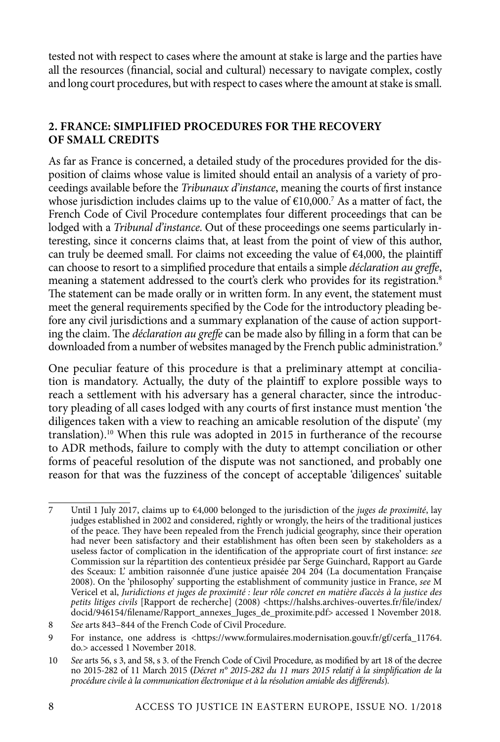tested not with respect to cases where the amount at stake is large and the parties have all the resources (financial, social and cultural) necessary to navigate complex, costly and long court procedures, but with respect to cases where the amount at stake is small.

## **2. FRANCE: SIMPLIFIED PROCEDURES FOR THE RECOVERY OF SMALL CREDITS**

As far as France is concerned, a detailed study of the procedures provided for the disposition of claims whose value is limited should entail an analysis of a variety of proceedings available before the *Tribunaux d'instance*, meaning the courts of first instance whose jurisdiction includes claims up to the value of €10,000.7 As a matter of fact, the French Code of Civil Procedure contemplates four different proceedings that can be lodged with a *Tribunal d'instance*. Out of these proceedings one seems particularly interesting, since it concerns claims that, at least from the point of view of this author, can truly be deemed small. For claims not exceeding the value of  $\epsilon$ 4,000, the plaintiff can choose to resort to a simplified procedure that entails a simple *déclaration au greffe*, meaning a statement addressed to the court's clerk who provides for its registration.<sup>8</sup> The statement can be made orally or in written form. In any event, the statement must meet the general requirements specified by the Code for the introductory pleading before any civil jurisdictions and a summary explanation of the cause of action supporting the claim. The *déclaration au greffe* can be made also by filling in a form that can be downloaded from a number of websites managed by the French public administration.<sup>9</sup>

One peculiar feature of this procedure is that a preliminary attempt at conciliation is mandatory. Actually, the duty of the plaintiff to explore possible ways to reach a settlement with his adversary has a general character, since the introductory pleading of all cases lodged with any courts of first instance must mention 'the diligences taken with a view to reaching an amicable resolution of the dispute' (my translation).<sup>10</sup> When this rule was adopted in 2015 in furtherance of the recourse to ADR methods, failure to comply with the duty to attempt conciliation or other forms of peaceful resolution of the dispute was not sanctioned, and probably one reason for that was the fuzziness of the concept of acceptable 'diligences' suitable

<sup>7</sup> Until 1 July 2017, claims up to €4,000 belonged to the jurisdiction of the *juges de proximité*, lay judges established in 2002 and considered, rightly or wrongly, the heirs of the traditional justices of the peace. They have been repealed from the French judicial geography, since their operation had never been satisfactory and their establishment has often been seen by stakeholders as a useless factor of complication in the identification of the appropriate court of first instance: *see* Commission sur la répartition des contentieux présidée par Serge Guinchard, Rapport au Garde des Sceaux: L' ambition raisonnée d'une justice apaisée 204 204 (La documentation Française 2008). On the 'philosophy' supporting the establishment of community justice in France, *see* M Vericel et al, *Juridictions et juges de proximité : leur rôle concret en matière d'accès à la justice des petits litiges civils* [Rapport de recherche] (2008) <https://halshs.archives-ouvertes.fr/file/index/ docid/946154/filename/Rapport\_annexes\_Juges\_de\_proximite.pdf> accessed 1 November 2018.

<sup>8</sup> *See* arts 843–844 of the French Code of Civil Procedure.

<sup>9</sup> For instance, one address is <https://www.formulaires.modernisation.gouv.fr/gf/cerfa\_11764. do.> accessed 1 November 2018.

<sup>10</sup> *See* arts 56, s 3, and 58, s 3. of the French Code of Civil Procedure, as modified by art 18 of the decree no 2015-282 of 11 March 2015 **(***Décret n° 2015-282 du 11 mars 2015 relatif à la simplification de la procédure civile à la communication électronique et à la résolution amiable des différends*)*.*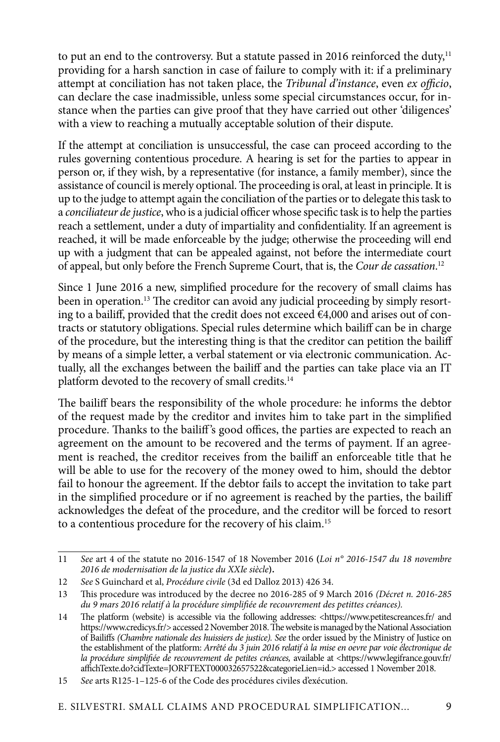to put an end to the controversy. But a statute passed in 2016 reinforced the duty, $11$ providing for a harsh sanction in case of failure to comply with it: if a preliminary attempt at conciliation has not taken place, the *Tribunal d'instance*, even *ex officio*, can declare the case inadmissible, unless some special circumstances occur, for instance when the parties can give proof that they have carried out other 'diligences' with a view to reaching a mutually acceptable solution of their dispute.

If the attempt at conciliation is unsuccessful, the case can proceed according to the rules governing contentious procedure. A hearing is set for the parties to appear in person or, if they wish, by a representative (for instance, a family member), since the assistance of council is merely optional. The proceeding is oral, at least in principle. It is up to the judge to attempt again the conciliation of the parties or to delegate this task to a *conciliateur de justice*, who is a judicial officer whose specific task is to help the parties reach a settlement, under a duty of impartiality and confidentiality. If an agreement is reached, it will be made enforceable by the judge; otherwise the proceeding will end up with a judgment that can be appealed against, not before the intermediate court of appeal, but only before the French Supreme Court, that is, the *Cour de cassation*. 12

Since 1 June 2016 a new, simplified procedure for the recovery of small claims has been in operation.13 The creditor can avoid any judicial proceeding by simply resorting to a bailiff, provided that the credit does not exceed €4,000 and arises out of contracts or statutory obligations. Special rules determine which bailiff can be in charge of the procedure, but the interesting thing is that the creditor can petition the bailiff by means of a simple letter, a verbal statement or via electronic communication. Actually, all the exchanges between the bailiff and the parties can take place via an IT platform devoted to the recovery of small credits.14

The bailiff bears the responsibility of the whole procedure: he informs the debtor of the request made by the creditor and invites him to take part in the simplified procedure. Thanks to the bailiff 's good offices, the parties are expected to reach an agreement on the amount to be recovered and the terms of payment. If an agreement is reached, the creditor receives from the bailiff an enforceable title that he will be able to use for the recovery of the money owed to him, should the debtor fail to honour the agreement. If the debtor fails to accept the invitation to take part in the simplified procedure or if no agreement is reached by the parties, the bailiff acknowledges the defeat of the procedure, and the creditor will be forced to resort to a contentious procedure for the recovery of his claim.<sup>15</sup>

<sup>11</sup> *See* art 4 of the statute no 2016-1547 of 18 November 2016 **(***Loi n° 2016-1547 du 18 novembre 2016 de modernisation de la justice du XXIe siècle***).**

<sup>12</sup> *See* S Guinchard et al, *Procédure civile* (3d ed Dalloz 2013) 426 34.

<sup>13</sup> This procedure was introduced by the decree no 2016-285 of 9 March 2016 *(Décret n. 2016-285 du 9 mars 2016 relatif à la procédure simplifiée de recouvrement des petittes créances).*

<sup>14</sup> The platform (website) is accessible via the following addresses: <https://www.petitescreances.fr/ and https://www.credicys.fr/> accessed 2 November 2018. The website is managed by the National Association of Bailiffs *(Chambre nationale des huissiers de justice). See* the order issued by the Ministry of Justice on the establishment of the platform: *Arrêté du 3 juin 2016 relatif à la mise en oevre par voie électronique de la procédure simplifiée de recouvrement de petites créances, available at <https://www.legifrance.gouv.fr/* affichTexte.do?cidTexte=JORFTEXT000032657522&categorieLien=id.> accessed 1 November 2018.

<sup>15</sup> *See* arts R125-1–125-6 of the Code des procédures civiles d'exécution.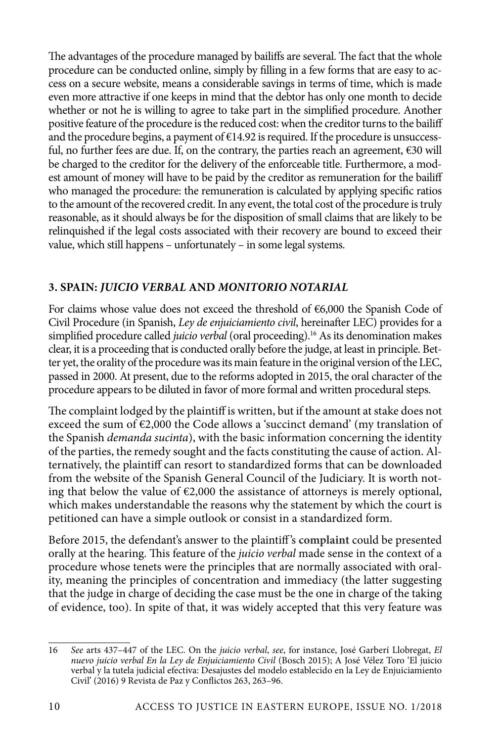The advantages of the procedure managed by bailiffs are several. The fact that the whole procedure can be conducted online, simply by filling in a few forms that are easy to access on a secure website, means a considerable savings in terms of time, which is made even more attractive if one keeps in mind that the debtor has only one month to decide whether or not he is willing to agree to take part in the simplified procedure. Another positive feature of the procedure is the reduced cost: when the creditor turns to the bailiff and the procedure begins, a payment of  $E14.92$  is required. If the procedure is unsuccessful, no further fees are due. If, on the contrary, the parties reach an agreement,  $\epsilon$ 30 will be charged to the creditor for the delivery of the enforceable title. Furthermore, a modest amount of money will have to be paid by the creditor as remuneration for the bailiff who managed the procedure: the remuneration is calculated by applying specific ratios to the amount of the recovered credit. In any event, the total cost of the procedure is truly reasonable, as it should always be for the disposition of small claims that are likely to be relinquished if the legal costs associated with their recovery are bound to exceed their value, which still happens – unfortunately – in some legal systems.

## **3. SPAIN:** *JUICIO VERBAL* **AND** *MONITORIO NOTARIAL*

For claims whose value does not exceed the threshold of €6,000 the Spanish Code of Civil Procedure (in Spanish, *Ley de enjuiciamiento civil*, hereinafter LEC) provides for a simplified procedure called *juicio verbal* (oral proceeding).16 As its denomination makes clear, it is a proceeding that is conducted orally before the judge, at least in principle. Better yet, the orality of the procedure was its main feature in the original version of the LEC, passed in 2000. At present, due to the reforms adopted in 2015, the oral character of the procedure appears to be diluted in favor of more formal and written procedural steps.

The complaint lodged by the plaintiff is written, but if the amount at stake does not exceed the sum of  $\epsilon$ 2,000 the Code allows a 'succinct demand' (my translation of the Spanish *demanda sucinta*), with the basic information concerning the identity of the parties, the remedy sought and the facts constituting the cause of action. Alternatively, the plaintiff can resort to standardized forms that can be downloaded from the website of the Spanish General Council of the Judiciary. It is worth noting that below the value of  $\epsilon$ 2,000 the assistance of attorneys is merely optional, which makes understandable the reasons why the statement by which the court is petitioned can have a simple outlook or consist in a standardized form.

Before 2015, the defendant's answer to the plaintiff 's **complaint** could be presented orally at the hearing. This feature of the *juicio verbal* made sense in the context of a procedure whose tenets were the principles that are normally associated with orality, meaning the principles of concentration and immediacy (the latter suggesting that the judge in charge of deciding the case must be the one in charge of the taking of evidence, too). In spite of that, it was widely accepted that this very feature was

<sup>16</sup> *See* arts 437–447 of the LEC. On the *juicio verbal*, *see*, for instance, José Garberí Llobregat, *El nuevo juicio verbal En la Ley de Enjuiciamiento Civil* (Bosch 2015); A José Vélez Toro 'El juicio verbal y la tutela judicial efectiva: Desajustes del modelo establecido en la Ley de Enjuiciamiento Civil' (2016) 9 Revista de Paz y Conflictos 263, 263–96.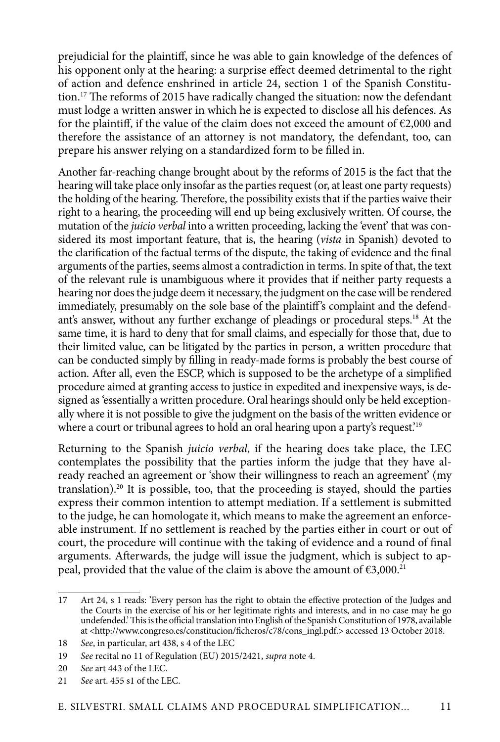prejudicial for the plaintiff, since he was able to gain knowledge of the defences of his opponent only at the hearing: a surprise effect deemed detrimental to the right of action and defence enshrined in article 24, section 1 of the Spanish Constitution.<sup>17</sup> The reforms of 2015 have radically changed the situation: now the defendant must lodge a written answer in which he is expected to disclose all his defences. As for the plaintiff, if the value of the claim does not exceed the amount of  $E2,000$  and therefore the assistance of an attorney is not mandatory, the defendant, too, can prepare his answer relying on a standardized form to be filled in.

Another far-reaching change brought about by the reforms of 2015 is the fact that the hearing will take place only insofar as the parties request (or, at least one party requests) the holding of the hearing. Therefore, the possibility exists that if the parties waive their right to a hearing, the proceeding will end up being exclusively written. Of course, the mutation of the *juicio verbal* into a written proceeding, lacking the 'event' that was considered its most important feature, that is, the hearing (*vista* in Spanish) devoted to the clarification of the factual terms of the dispute, the taking of evidence and the final arguments of the parties, seems almost a contradiction in terms. In spite of that, the text of the relevant rule is unambiguous where it provides that if neither party requests a hearing nor does the judge deem it necessary, the judgment on the case will be rendered immediately, presumably on the sole base of the plaintiff's complaint and the defendant's answer, without any further exchange of pleadings or procedural steps.18 At the same time, it is hard to deny that for small claims, and especially for those that, due to their limited value, can be litigated by the parties in person, a written procedure that can be conducted simply by filling in ready-made forms is probably the best course of action. After all, even the ESCP, which is supposed to be the archetype of a simplified procedure aimed at granting access to justice in expedited and inexpensive ways, is designed as 'essentially a written procedure. Oral hearings should only be held exceptionally where it is not possible to give the judgment on the basis of the written evidence or where a court or tribunal agrees to hold an oral hearing upon a party's request.<sup>'19</sup>

Returning to the Spanish *juicio verbal*, if the hearing does take place, the LEC contemplates the possibility that the parties inform the judge that they have already reached an agreement or 'show their willingness to reach an agreement' (my translation).20 It is possible, too, that the proceeding is stayed, should the parties express their common intention to attempt mediation. If a settlement is submitted to the judge, he can homologate it, which means to make the agreement an enforceable instrument. If no settlement is reached by the parties either in court or out of court, the procedure will continue with the taking of evidence and a round of final arguments. Afterwards, the judge will issue the judgment, which is subject to appeal, provided that the value of the claim is above the amount of  $\epsilon$ 3,000.<sup>21</sup>

<sup>17</sup> Art 24, s 1 reads: 'Every person has the right to obtain the effective protection of the Judges and the Courts in the exercise of his or her legitimate rights and interests, and in no case may he go undefended.' This is the official translation into English of the Spanish Constitution of 1978, available at <http://www.congreso.es/constitucion/ficheros/c78/cons\_ingl.pdf.> accessed 13 October 2018.

<sup>18</sup> *See*, in particular, art 438, s 4 of the LEC

<sup>19</sup> *See* recital no 11 of Regulation (EU) 2015/2421, *supra* note 4.

<sup>20</sup> *See* art 443 of the LEC.

<sup>21</sup> *See* art. 455 s1 of the LEC.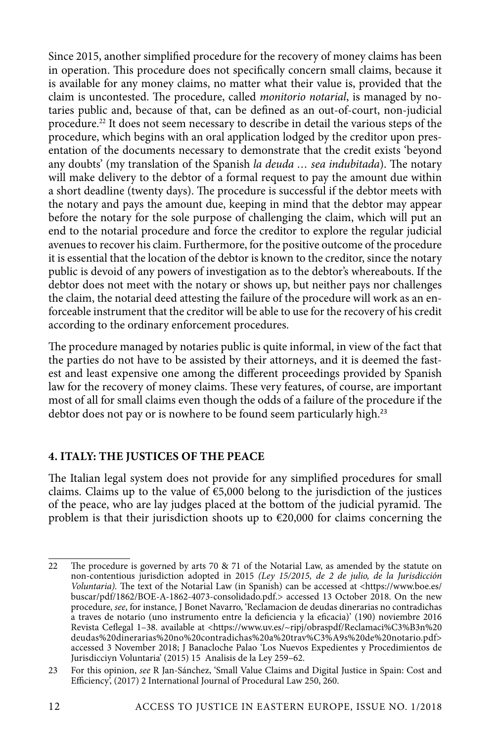Since 2015, another simplified procedure for the recovery of money claims has been in operation. This procedure does not specifically concern small claims, because it is available for any money claims, no matter what their value is, provided that the claim is uncontested. The procedure, called *monitorio notarial*, is managed by notaries public and, because of that, can be defined as an out-of-court, non-judicial procedure.<sup>22</sup> It does not seem necessary to describe in detail the various steps of the procedure, which begins with an oral application lodged by the creditor upon presentation of the documents necessary to demonstrate that the credit exists 'beyond any doubts' (my translation of the Spanish *la deuda … sea indubitada*). The notary will make delivery to the debtor of a formal request to pay the amount due within a short deadline (twenty days). The procedure is successful if the debtor meets with the notary and pays the amount due, keeping in mind that the debtor may appear before the notary for the sole purpose of challenging the claim, which will put an end to the notarial procedure and force the creditor to explore the regular judicial avenues to recover his claim. Furthermore, for the positive outcome of the procedure it is essential that the location of the debtor is known to the creditor, since the notary public is devoid of any powers of investigation as to the debtor's whereabouts. If the debtor does not meet with the notary or shows up, but neither pays nor challenges the claim, the notarial deed attesting the failure of the procedure will work as an enforceable instrument that the creditor will be able to use for the recovery of his credit according to the ordinary enforcement procedures.

The procedure managed by notaries public is quite informal, in view of the fact that the parties do not have to be assisted by their attorneys, and it is deemed the fastest and least expensive one among the different proceedings provided by Spanish law for the recovery of money claims. These very features, of course, are important most of all for small claims even though the odds of a failure of the procedure if the debtor does not pay or is nowhere to be found seem particularly high.<sup>23</sup>

## **4. ITALY: THE JUSTICES OF THE PEACE**

The Italian legal system does not provide for any simplified procedures for small claims. Claims up to the value of  $\epsilon$ 5,000 belong to the jurisdiction of the justices of the peace, who are lay judges placed at the bottom of the judicial pyramid. The problem is that their jurisdiction shoots up to  $\epsilon$ 20,000 for claims concerning the

<sup>22</sup> The procedure is governed by arts 70 & 71 of the Notarial Law, as amended by the statute on non-contentious jurisdiction adopted in 2015 *(Ley 15/2015, de 2 de julio, de la Jurisdicción Voluntaria).* The text of the Notarial Law (in Spanish) can be accessed at <https://www.boe.es/ buscar/pdf/1862/BOE-A-1862-4073-consolidado.pdf.> accessed 13 October 2018. On the new procedure, *see*, for instance, J Bonet Navarro, 'Reclamacion de deudas dinerarias no contradichas a traves de notario (uno instrumento entre la deficiencia y la eficacia)' (190) noviembre 2016 Revista Ceflegal 1-38. available at <https://www.uv.es/~ripj/obraspdf/Reclamaci%C3%B3n%20 deudas%20dinerarias%20no%20contradichas%20a%20trav%C3%A9s%20de%20notario.pdf> accessed 3 November 2018; J Banacloche Palao 'Los Nuevos Expedientes y Procedimientos de Jurisdicciуn Voluntaria' (2015) 15 Analisis de la Ley 259–62.

<sup>23</sup> For this opinion, *see* R Jan-Sánchez, 'Small Value Claims and Digital Justice in Spain: Cost and Efficiency, (2017) 2 International Journal of Procedural Law 250, 260.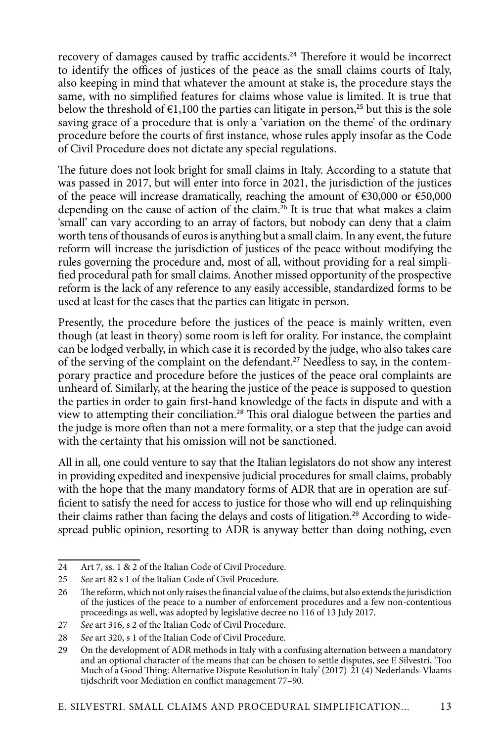recovery of damages caused by traffic accidents.<sup>24</sup> Therefore it would be incorrect to identify the offices of justices of the peace as the small claims courts of Italy, also keeping in mind that whatever the amount at stake is, the procedure stays the same, with no simplified features for claims whose value is limited. It is true that below the threshold of  $\epsilon$ 1,100 the parties can litigate in person,<sup>25</sup> but this is the sole saving grace of a procedure that is only a 'variation on the theme' of the ordinary procedure before the courts of first instance, whose rules apply insofar as the Code of Civil Procedure does not dictate any special regulations.

The future does not look bright for small claims in Italy. According to a statute that was passed in 2017, but will enter into force in 2021, the jurisdiction of the justices of the peace will increase dramatically, reaching the amount of €30,000 or €50,000 depending on the cause of action of the claim.<sup>26</sup> It is true that what makes a claim 'small' can vary according to an array of factors, but nobody can deny that a claim worth tens of thousands of euros is anything but a small claim. In any event, the future reform will increase the jurisdiction of justices of the peace without modifying the rules governing the procedure and, most of all, without providing for a real simplified procedural path for small claims. Another missed opportunity of the prospective reform is the lack of any reference to any easily accessible, standardized forms to be used at least for the cases that the parties can litigate in person.

Presently, the procedure before the justices of the peace is mainly written, even though (at least in theory) some room is left for orality. For instance, the complaint can be lodged verbally, in which case it is recorded by the judge, who also takes care of the serving of the complaint on the defendant.<sup>27</sup> Needless to say, in the contemporary practice and procedure before the justices of the peace oral complaints are unheard of. Similarly, at the hearing the justice of the peace is supposed to question the parties in order to gain first-hand knowledge of the facts in dispute and with a view to attempting their conciliation.<sup>28</sup> This oral dialogue between the parties and the judge is more often than not a mere formality, or a step that the judge can avoid with the certainty that his omission will not be sanctioned.

All in all, one could venture to say that the Italian legislators do not show any interest in providing expedited and inexpensive judicial procedures for small claims, probably with the hope that the many mandatory forms of ADR that are in operation are sufficient to satisfy the need for access to justice for those who will end up relinquishing their claims rather than facing the delays and costs of litigation.<sup>29</sup> According to widespread public opinion, resorting to ADR is anyway better than doing nothing, even

<sup>24</sup> Art 7, ss. 1 & 2 of the Italian Code of Civil Procedure.

<sup>25</sup> *See* art 82 s 1 of the Italian Code of Civil Procedure.

<sup>26</sup> The reform, which not only raises the financial value of the claims, but also extends the jurisdiction of the justices of the peace to a number of enforcement procedures and a few non-contentious proceedings as well, was adopted by legislative decree no 116 of 13 July 2017.

<sup>27</sup> *See* art 316, s 2 of the Italian Code of Civil Procedure.

<sup>28</sup> *See* art 320, s 1 of the Italian Code of Civil Procedure.

<sup>29</sup> On the development of ADR methods in Italy with a confusing alternation between a mandatory and an optional character of the means that can be chosen to settle disputes, see E Silvestri, 'Too Much of a Good Thing: Alternative Dispute Resolution in Italy' (2017) 21 (4) Nederlands-Vlaams tijdschrift voor Mediation en conflict management 77–90.